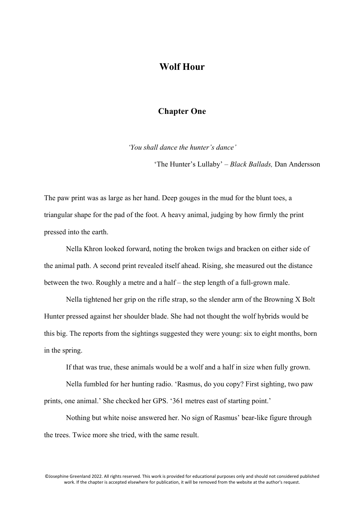## **Wolf Hour**

## **Chapter One**

*'You shall dance the hunter's dance'*

'The Hunter's Lullaby' *– Black Ballads,* Dan Andersson

The paw print was as large as her hand. Deep gouges in the mud for the blunt toes, a triangular shape for the pad of the foot. A heavy animal, judging by how firmly the print pressed into the earth.

Nella Khron looked forward, noting the broken twigs and bracken on either side of the animal path. A second print revealed itself ahead. Rising, she measured out the distance between the two. Roughly a metre and a half – the step length of a full-grown male.

Nella tightened her grip on the rifle strap, so the slender arm of the Browning X Bolt Hunter pressed against her shoulder blade. She had not thought the wolf hybrids would be this big. The reports from the sightings suggested they were young: six to eight months, born in the spring.

If that was true, these animals would be a wolf and a half in size when fully grown.

Nella fumbled for her hunting radio. 'Rasmus, do you copy? First sighting, two paw prints, one animal.' She checked her GPS. '361 metres east of starting point.'

Nothing but white noise answered her. No sign of Rasmus' bear-like figure through the trees. Twice more she tried, with the same result.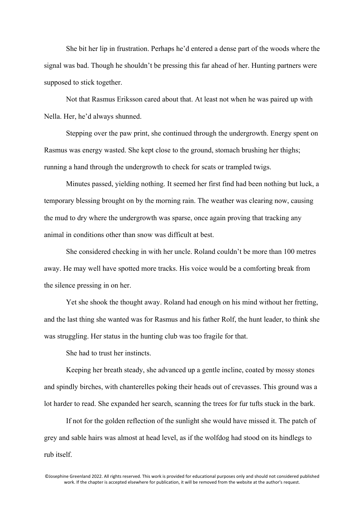She bit her lip in frustration. Perhaps he'd entered a dense part of the woods where the signal was bad. Though he shouldn't be pressing this far ahead of her. Hunting partners were supposed to stick together.

Not that Rasmus Eriksson cared about that. At least not when he was paired up with Nella. Her, he'd always shunned.

Stepping over the paw print, she continued through the undergrowth. Energy spent on Rasmus was energy wasted. She kept close to the ground, stomach brushing her thighs; running a hand through the undergrowth to check for scats or trampled twigs.

Minutes passed, yielding nothing. It seemed her first find had been nothing but luck, a temporary blessing brought on by the morning rain. The weather was clearing now, causing the mud to dry where the undergrowth was sparse, once again proving that tracking any animal in conditions other than snow was difficult at best.

She considered checking in with her uncle. Roland couldn't be more than 100 metres away. He may well have spotted more tracks. His voice would be a comforting break from the silence pressing in on her.

Yet she shook the thought away. Roland had enough on his mind without her fretting, and the last thing she wanted was for Rasmus and his father Rolf, the hunt leader, to think she was struggling. Her status in the hunting club was too fragile for that.

She had to trust her instincts.

Keeping her breath steady, she advanced up a gentle incline, coated by mossy stones and spindly birches, with chanterelles poking their heads out of crevasses. This ground was a lot harder to read. She expanded her search, scanning the trees for fur tufts stuck in the bark.

If not for the golden reflection of the sunlight she would have missed it. The patch of grey and sable hairs was almost at head level, as if the wolfdog had stood on its hindlegs to rub itself.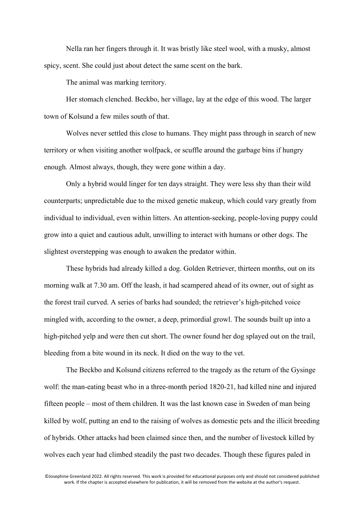Nella ran her fingers through it. It was bristly like steel wool, with a musky, almost spicy, scent. She could just about detect the same scent on the bark.

The animal was marking territory.

Her stomach clenched. Beckbo, her village, lay at the edge of this wood. The larger town of Kolsund a few miles south of that.

Wolves never settled this close to humans. They might pass through in search of new territory or when visiting another wolfpack, or scuffle around the garbage bins if hungry enough. Almost always, though, they were gone within a day.

Only a hybrid would linger for ten days straight. They were less shy than their wild counterparts; unpredictable due to the mixed genetic makeup, which could vary greatly from individual to individual, even within litters. An attention-seeking, people-loving puppy could grow into a quiet and cautious adult, unwilling to interact with humans or other dogs. The slightest overstepping was enough to awaken the predator within.

These hybrids had already killed a dog. Golden Retriever, thirteen months, out on its morning walk at 7.30 am. Off the leash, it had scampered ahead of its owner, out of sight as the forest trail curved. A series of barks had sounded; the retriever's high-pitched voice mingled with, according to the owner, a deep, primordial growl. The sounds built up into a high-pitched yelp and were then cut short. The owner found her dog splayed out on the trail, bleeding from a bite wound in its neck. It died on the way to the vet.

The Beckbo and Kolsund citizens referred to the tragedy as the return of the Gysinge wolf: the man-eating beast who in a three-month period 1820-21, had killed nine and injured fifteen people – most of them children. It was the last known case in Sweden of man being killed by wolf, putting an end to the raising of wolves as domestic pets and the illicit breeding of hybrids. Other attacks had been claimed since then, and the number of livestock killed by wolves each year had climbed steadily the past two decades. Though these figures paled in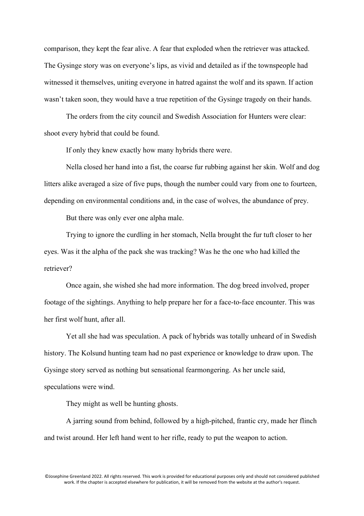comparison, they kept the fear alive. A fear that exploded when the retriever was attacked. The Gysinge story was on everyone's lips, as vivid and detailed as if the townspeople had witnessed it themselves, uniting everyone in hatred against the wolf and its spawn. If action wasn't taken soon, they would have a true repetition of the Gysinge tragedy on their hands.

The orders from the city council and Swedish Association for Hunters were clear: shoot every hybrid that could be found.

If only they knew exactly how many hybrids there were.

Nella closed her hand into a fist, the coarse fur rubbing against her skin. Wolf and dog litters alike averaged a size of five pups, though the number could vary from one to fourteen, depending on environmental conditions and, in the case of wolves, the abundance of prey.

But there was only ever one alpha male.

Trying to ignore the curdling in her stomach, Nella brought the fur tuft closer to her eyes. Was it the alpha of the pack she was tracking? Was he the one who had killed the retriever?

Once again, she wished she had more information. The dog breed involved, proper footage of the sightings. Anything to help prepare her for a face-to-face encounter. This was her first wolf hunt, after all.

Yet all she had was speculation. A pack of hybrids was totally unheard of in Swedish history. The Kolsund hunting team had no past experience or knowledge to draw upon. The Gysinge story served as nothing but sensational fearmongering. As her uncle said, speculations were wind.

They might as well be hunting ghosts.

A jarring sound from behind, followed by a high-pitched, frantic cry, made her flinch and twist around. Her left hand went to her rifle, ready to put the weapon to action.

<sup>©</sup>Josephine Greenland 2022. All rights reserved. This work is provided for educational purposes only and should not considered published work. If the chapter is accepted elsewhere for publication, it will be removed from the website at the author's request.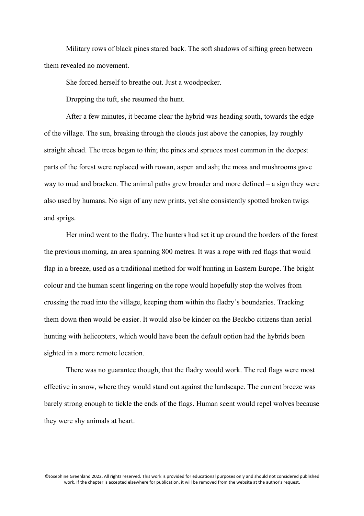Military rows of black pines stared back. The soft shadows of sifting green between them revealed no movement.

She forced herself to breathe out. Just a woodpecker.

Dropping the tuft, she resumed the hunt.

After a few minutes, it became clear the hybrid was heading south, towards the edge of the village. The sun, breaking through the clouds just above the canopies, lay roughly straight ahead. The trees began to thin; the pines and spruces most common in the deepest parts of the forest were replaced with rowan, aspen and ash; the moss and mushrooms gave way to mud and bracken. The animal paths grew broader and more defined – a sign they were also used by humans. No sign of any new prints, yet she consistently spotted broken twigs and sprigs.

Her mind went to the fladry. The hunters had set it up around the borders of the forest the previous morning, an area spanning 800 metres. It was a rope with red flags that would flap in a breeze, used as a traditional method for wolf hunting in Eastern Europe. The bright colour and the human scent lingering on the rope would hopefully stop the wolves from crossing the road into the village, keeping them within the fladry's boundaries. Tracking them down then would be easier. It would also be kinder on the Beckbo citizens than aerial hunting with helicopters, which would have been the default option had the hybrids been sighted in a more remote location.

There was no guarantee though, that the fladry would work. The red flags were most effective in snow, where they would stand out against the landscape. The current breeze was barely strong enough to tickle the ends of the flags. Human scent would repel wolves because they were shy animals at heart.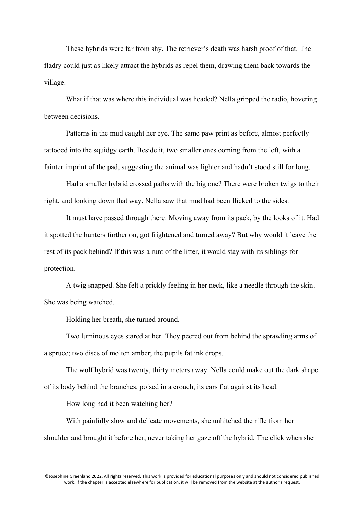These hybrids were far from shy. The retriever's death was harsh proof of that. The fladry could just as likely attract the hybrids as repel them, drawing them back towards the village.

What if that was where this individual was headed? Nella gripped the radio, hovering between decisions.

Patterns in the mud caught her eye. The same paw print as before, almost perfectly tattooed into the squidgy earth. Beside it, two smaller ones coming from the left, with a fainter imprint of the pad, suggesting the animal was lighter and hadn't stood still for long.

Had a smaller hybrid crossed paths with the big one? There were broken twigs to their right, and looking down that way, Nella saw that mud had been flicked to the sides.

It must have passed through there. Moving away from its pack, by the looks of it. Had it spotted the hunters further on, got frightened and turned away? But why would it leave the rest of its pack behind? If this was a runt of the litter, it would stay with its siblings for protection.

A twig snapped. She felt a prickly feeling in her neck, like a needle through the skin. She was being watched.

Holding her breath, she turned around.

Two luminous eyes stared at her. They peered out from behind the sprawling arms of a spruce; two discs of molten amber; the pupils fat ink drops.

The wolf hybrid was twenty, thirty meters away. Nella could make out the dark shape of its body behind the branches, poised in a crouch, its ears flat against its head.

How long had it been watching her?

With painfully slow and delicate movements, she unhitched the rifle from her shoulder and brought it before her, never taking her gaze off the hybrid. The click when she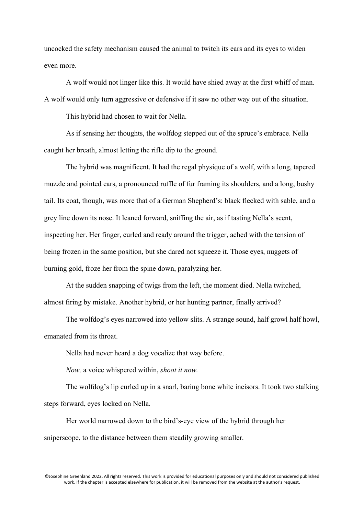uncocked the safety mechanism caused the animal to twitch its ears and its eyes to widen even more.

A wolf would not linger like this. It would have shied away at the first whiff of man. A wolf would only turn aggressive or defensive if it saw no other way out of the situation.

This hybrid had chosen to wait for Nella.

As if sensing her thoughts, the wolfdog stepped out of the spruce's embrace. Nella caught her breath, almost letting the rifle dip to the ground.

The hybrid was magnificent. It had the regal physique of a wolf, with a long, tapered muzzle and pointed ears, a pronounced ruffle of fur framing its shoulders, and a long, bushy tail. Its coat, though, was more that of a German Shepherd's: black flecked with sable, and a grey line down its nose. It leaned forward, sniffing the air, as if tasting Nella's scent, inspecting her. Her finger, curled and ready around the trigger, ached with the tension of being frozen in the same position, but she dared not squeeze it. Those eyes, nuggets of burning gold, froze her from the spine down, paralyzing her.

At the sudden snapping of twigs from the left, the moment died. Nella twitched, almost firing by mistake. Another hybrid, or her hunting partner, finally arrived?

The wolfdog's eyes narrowed into yellow slits. A strange sound, half growl half howl, emanated from its throat.

Nella had never heard a dog vocalize that way before.

*Now,* a voice whispered within, *shoot it now.*

The wolfdog's lip curled up in a snarl, baring bone white incisors. It took two stalking steps forward, eyes locked on Nella.

Her world narrowed down to the bird's-eye view of the hybrid through her sniperscope, to the distance between them steadily growing smaller.

<sup>©</sup>Josephine Greenland 2022. All rights reserved. This work is provided for educational purposes only and should not considered published work. If the chapter is accepted elsewhere for publication, it will be removed from the website at the author's request.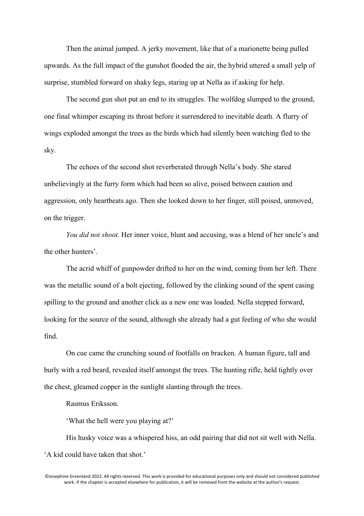Then the animal jumped. A jerky movement, like that of a marionette being pulled upwards. As the full impact of the gunshot flooded the air, the hybrid uttered a small yelp of surprise, stumbled forward on shaky legs, staring up at Nella as if asking for help.

The second gun shot put an end to its struggles. The wolfdog slumped to the ground, one final whimper escaping its throat before it surrendered to inevitable death. A flurry of wings exploded amongst the trees as the birds which had silently been watching fled to the sky.

The echoes of the second shot reverberated through Nella's body. She stared unbelievingly at the furry form which had been so alive, poised between caution and aggression, only heartbeats ago. Then she looked down to her finger, still poised, unmoved, on the trigger.

*You did not shoot.* Her inner voice, blunt and accusing, was a blend of her uncle's and the other hunters'.

The acrid whiff of gunpowder drifted to her on the wind, coming from her left. There was the metallic sound of a bolt ejecting, followed by the clinking sound of the spent casing spilling to the ground and another click as a new one was loaded. Nella stepped forward, looking for the source of the sound, although she already had a gut feeling of who she would find.

On cue came the crunching sound of footfalls on bracken. A human figure, tall and burly with a red beard, revealed itself amongst the trees. The hunting rifle, held tightly over the chest, gleamed copper in the sunlight slanting through the trees.

Rasmus Eriksson.

'What the hell were you playing at?'

His husky voice was a whispered hiss, an odd pairing that did not sit well with Nella. 'A kid could have taken that shot.'

<sup>©</sup>Josephine Greenland 2022. All rights reserved. This work is provided for educational purposes only and should not considered published work. If the chapter is accepted elsewhere for publication, it will be removed from the website at the author's request.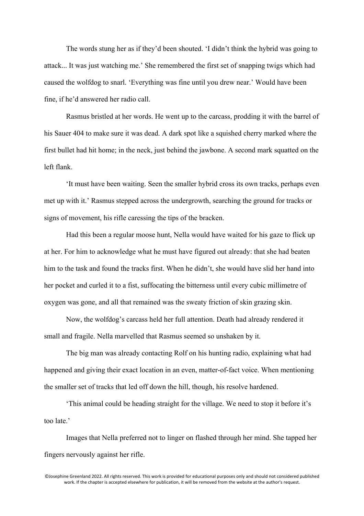The words stung her as if they'd been shouted. 'I didn't think the hybrid was going to attack... It was just watching me.' She remembered the first set of snapping twigs which had caused the wolfdog to snarl. 'Everything was fine until you drew near.' Would have been fine, if he'd answered her radio call.

Rasmus bristled at her words. He went up to the carcass, prodding it with the barrel of his Sauer 404 to make sure it was dead. A dark spot like a squished cherry marked where the first bullet had hit home; in the neck, just behind the jawbone. A second mark squatted on the left flank.

'It must have been waiting. Seen the smaller hybrid cross its own tracks, perhaps even met up with it.' Rasmus stepped across the undergrowth, searching the ground for tracks or signs of movement, his rifle caressing the tips of the bracken.

Had this been a regular moose hunt, Nella would have waited for his gaze to flick up at her. For him to acknowledge what he must have figured out already: that she had beaten him to the task and found the tracks first. When he didn't, she would have slid her hand into her pocket and curled it to a fist, suffocating the bitterness until every cubic millimetre of oxygen was gone, and all that remained was the sweaty friction of skin grazing skin.

Now, the wolfdog's carcass held her full attention. Death had already rendered it small and fragile. Nella marvelled that Rasmus seemed so unshaken by it.

The big man was already contacting Rolf on his hunting radio, explaining what had happened and giving their exact location in an even, matter-of-fact voice. When mentioning the smaller set of tracks that led off down the hill, though, his resolve hardened.

'This animal could be heading straight for the village. We need to stop it before it's too late.'

Images that Nella preferred not to linger on flashed through her mind. She tapped her fingers nervously against her rifle.